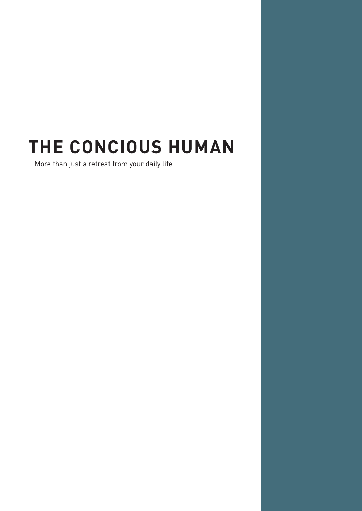# **THE CONCIOUS HUMAN**

More than just a retreat from your daily life.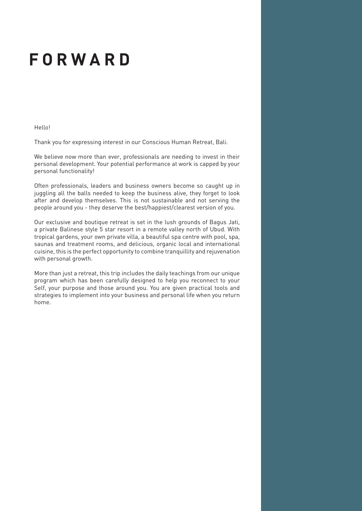### **FORWARD**

Hello!

Thank you for expressing interest in our Conscious Human Retreat, Bali.

We believe now more than ever, professionals are needing to invest in their personal development. Your potential performance at work is capped by your personal functionality!

Often professionals, leaders and business owners become so caught up in juggling all the balls needed to keep the business alive, they forget to look after and develop themselves. This is not sustainable and not serving the people around you - they deserve the best/happiest/clearest version of you.

Our exclusive and boutique retreat is set in the lush grounds of Bagus Jati, a private Balinese style 5 star resort in a remote valley north of Ubud. With tropical gardens, your own private villa, a beautiful spa centre with pool, spa, saunas and treatment rooms, and delicious, organic local and international cuisine, this is the perfect opportunity to combine tranquillity and rejuvenation with personal growth.

More than just a retreat, this trip includes the daily teachings from our unique program which has been carefully designed to help you reconnect to your Self, your purpose and those around you. You are given practical tools and strategies to implement into your business and personal life when you return home.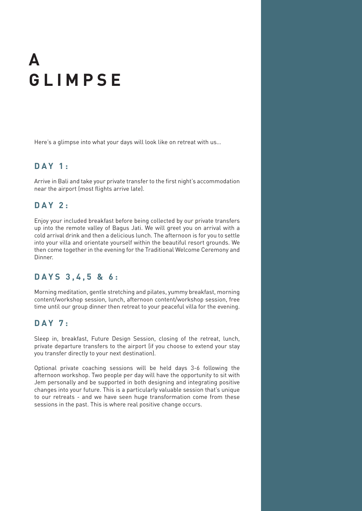## **A GLIMPSE**

Here's a glimpse into what your days will look like on retreat with us…

#### **DAY 1:**

Arrive in Bali and take your private transfer to the first night's accommodation near the airport (most flights arrive late).

#### **D A Y 2 :**

Enjoy your included breakfast before being collected by our private transfers up into the remote valley of Bagus Jati. We will greet you on arrival with a cold arrival drink and then a delicious lunch. The afternoon is for you to settle into your villa and orientate yourself within the beautiful resort grounds. We then come together in the evening for the Traditional Welcome Ceremony and Dinner.

#### **DAYS 3,4,5 & 6:**

Morning meditation, gentle stretching and pilates, yummy breakfast, morning content/workshop session, lunch, afternoon content/workshop session, free time until our group dinner then retreat to your peaceful villa for the evening.

#### **DAY 7:**

Sleep in, breakfast, Future Design Session, closing of the retreat, lunch, private departure transfers to the airport (if you choose to extend your stay you transfer directly to your next destination).

Optional private coaching sessions will be held days 3-6 following the afternoon workshop. Two people per day will have the opportunity to sit with Jem personally and be supported in both designing and integrating positive changes into your future. This is a particularly valuable session that's unique to our retreats - and we have seen huge transformation come from these sessions in the past. This is where real positive change occurs.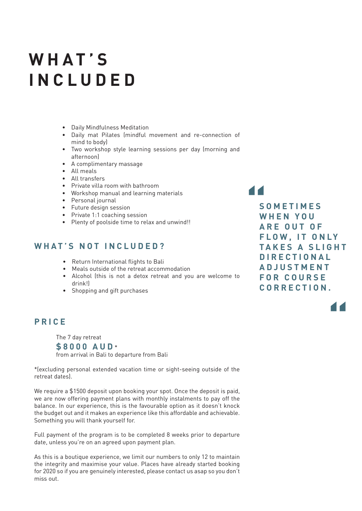### **WHAT'S INCLUDED**

- • Daily Mindfulness Meditation
- • Daily mat Pilates (mindful movement and re-connection of mind to body)
- • Two workshop style learning sessions per day (morning and afternoon)
- • A complimentary massage
- • All meals
- • All transfers
- • Private villa room with bathroom
- • Workshop manual and learning materials
- • Personal journal
- • Future design session
- Private 1:1 coaching session
- Plenty of poolside time to relax and unwind!!

#### **WHAT'S NOT INCLUDED?**

- • Return International flights to Bali
- • Meals outside of the retreat accommodation
- • Alcohol (this is not a detox retreat and you are welcome to drink!)
- • Shopping and gift purchases

#### **PRICE**

 The 7 day retreat **\$8000 AUD** \*

 from arrival in Bali to departure from Bali

\*(excluding personal extended vacation time or sight-seeing outside of the retreat dates).

We require a \$1500 deposit upon booking your spot. Once the deposit is paid, we are now offering payment plans with monthly instalments to pay off the balance. In our experience, this is the favourable option as it doesn't knock the budget out and it makes an experience like this affordable and achievable. Something you will thank yourself for.

Full payment of the program is to be completed 8 weeks prior to departure date, unless you're on an agreed upon payment plan.

As this is a boutique experience, we limit our numbers to only 12 to maintain the integrity and maximise your value. Places have already started booking for 2020 so if you are genuinely interested, please contact us asap so you don't miss out.

**S O M E T I M E S W H E N Y O U ARE OUT OF FLOW. IT ONLY TAKES A SLIGHT D I R E C T I O N A L A D J U S T M E N T F O R C O U R S E C O R R E C T I O N .** 

**"**

**"**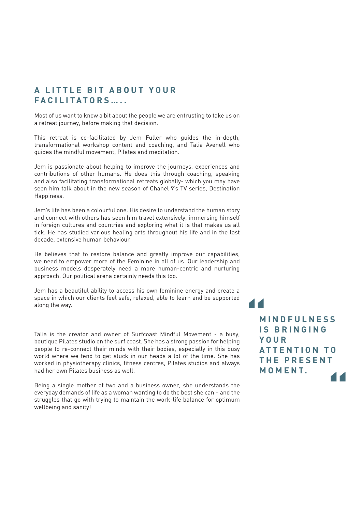#### **A LITTLE BIT ABOUT YOUR FACILITATORS…..**

Most of us want to know a bit about the people we are entrusting to take us on a retreat journey, before making that decision.

This retreat is co-facilitated by Jem Fuller who guides the in-depth, transformational workshop content and coaching, and Talia Avenell who guides the mindful movement, Pilates and meditation.

Jem is passionate about helping to improve the journeys, experiences and contributions of other humans. He does this through coaching, speaking and also facilitating transformational retreats globally- which you may have seen him talk about in the new season of Chanel 9's TV series, Destination Happiness.

Jem's life has been a colourful one. His desire to understand the human story and connect with others has seen him travel extensively, immersing himself in foreign cultures and countries and exploring what it is that makes us all tick. He has studied various healing arts throughout his life and in the last decade, extensive human behaviour.

He believes that to restore balance and greatly improve our capabilities, we need to empower more of the Feminine in all of us. Our leadership and business models desperately need a more human-centric and nurturing approach. Our political arena certainly needs this too.

Jem has a beautiful ability to access his own feminine energy and create a space in which our clients feel safe, relaxed, able to learn and be supported along the way.

Talia is the creator and owner of Surfcoast Mindful Movement - a busy, boutique Pilates studio on the surf coast. She has a strong passion for helping people to re-connect their minds with their bodies, especially in this busy world where we tend to get stuck in our heads a lot of the time. She has worked in physiotherapy clinics, fitness centres, Pilates studios and always had her own Pilates business as well.

Being a single mother of two and a business owner, she understands the everyday demands of life as a woman wanting to do the best she can – and the struggles that go with trying to maintain the work-life balance for optimum wellbeing and sanity!

**1**<br> **M**<br> **N**<br> **N**<br> **N**<br> **V " M I N D F U L N E S S I S B R I N G I N G Y O U R A T T E N T I O N T O T H E P R E S E N T MOMENT.**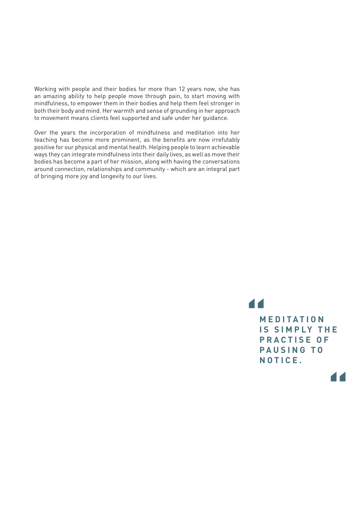Working with people and their bodies for more than 12 years now, she has an amazing ability to help people move through pain, to start moving with mindfulness, to empower them in their bodies and help them feel stronger in both their body and mind. Her warmth and sense of grounding in her approach to movement means clients feel supported and safe under her guidance.

Over the years the incorporation of mindfulness and meditation into her teaching has become more prominent, as the benefits are now irrefutably positive for our physical and mental health. Helping people to learn achievable ways they can integrate mindfulness into their daily lives, as well as move their bodies has become a part of her mission, along with having the conversations around connection, relationships and community - which are an integral part of bringing more joy and longevity to our lives.

**1**<br> **M**<br>
IS<br>
D **M E D I T A T I O N IS SIMPLY THE PRACTISE OF P A U S I N G T O NOTICE.**

**"**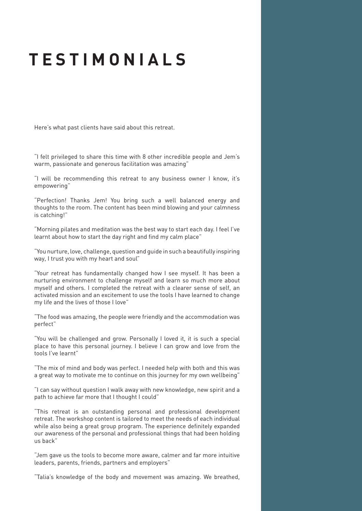### **TESTIMONIALS**

Here's what past clients have said about this retreat.

"I felt privileged to share this time with 8 other incredible people and Jem's warm, passionate and generous facilitation was amazing"

"I will be recommending this retreat to any business owner I know, it's empowering"

"Perfection! Thanks Jem! You bring such a well balanced energy and thoughts to the room. The content has been mind blowing and your calmness is catching!"

"Morning pilates and meditation was the best way to start each day. I feel I've learnt about how to start the day right and find my calm place"

"You nurture, love, challenge, question and guide in such a beautifully inspiring way, I trust you with my heart and soul"

"Your retreat has fundamentally changed how I see myself. It has been a nurturing environment to challenge myself and learn so much more about myself and others. I completed the retreat with a clearer sense of self, an activated mission and an excitement to use the tools I have learned to change my life and the lives of those I love"

"The food was amazing, the people were friendly and the accommodation was perfect"

"You will be challenged and grow. Personally I loved it, it is such a special place to have this personal journey. I believe I can grow and love from the tools I've learnt"

"The mix of mind and body was perfect. I needed help with both and this was a great way to motivate me to continue on this journey for my own wellbeing"

"I can say without question I walk away with new knowledge, new spirit and a path to achieve far more that I thought I could"

"This retreat is an outstanding personal and professional development retreat. The workshop content is tailored to meet the needs of each individual while also being a great group program. The experience definitely expanded our awareness of the personal and professional things that had been holding us back"

"Jem gave us the tools to become more aware, calmer and far more intuitive leaders, parents, friends, partners and employers"

"Talia's knowledge of the body and movement was amazing. We breathed,